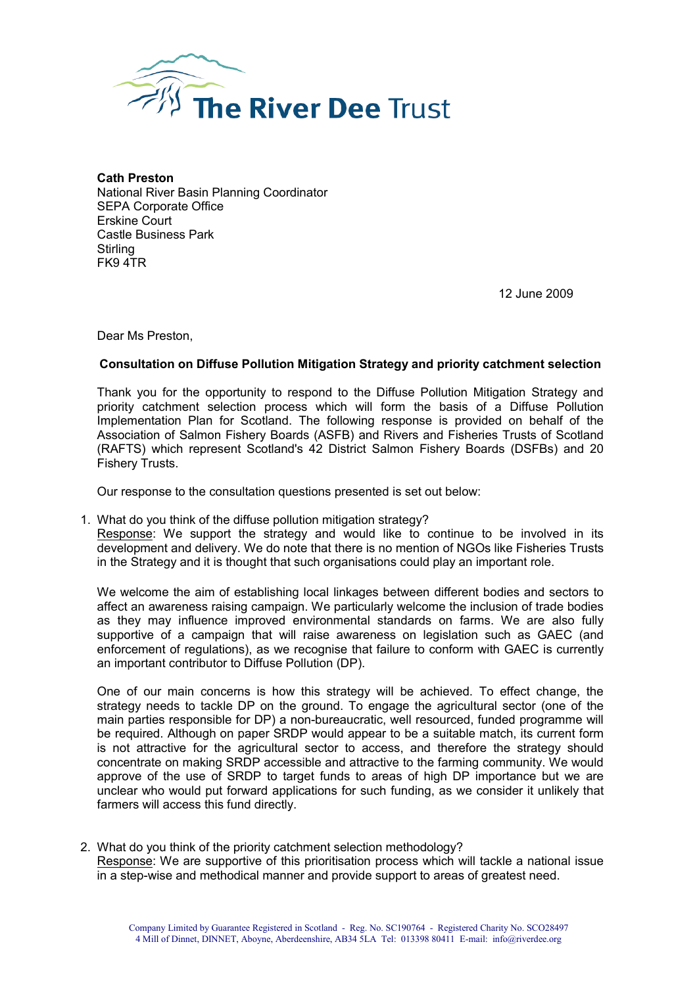

Cath Preston National River Basin Planning Coordinator SEPA Corporate Office Erskine Court Castle Business Park **Stirling** FK9 4TR

12 June 2009

Dear Ms Preston,

## Consultation on Diffuse Pollution Mitigation Strategy and priority catchment selection

Thank you for the opportunity to respond to the Diffuse Pollution Mitigation Strategy and priority catchment selection process which will form the basis of a Diffuse Pollution Implementation Plan for Scotland. The following response is provided on behalf of the Association of Salmon Fishery Boards (ASFB) and Rivers and Fisheries Trusts of Scotland (RAFTS) which represent Scotland's 42 District Salmon Fishery Boards (DSFBs) and 20 Fishery Trusts.

Our response to the consultation questions presented is set out below:

1. What do you think of the diffuse pollution mitigation strategy?

Response: We support the strategy and would like to continue to be involved in its development and delivery. We do note that there is no mention of NGOs like Fisheries Trusts in the Strategy and it is thought that such organisations could play an important role.

We welcome the aim of establishing local linkages between different bodies and sectors to affect an awareness raising campaign. We particularly welcome the inclusion of trade bodies as they may influence improved environmental standards on farms. We are also fully supportive of a campaign that will raise awareness on legislation such as GAEC (and enforcement of regulations), as we recognise that failure to conform with GAEC is currently an important contributor to Diffuse Pollution (DP).

One of our main concerns is how this strategy will be achieved. To effect change, the strategy needs to tackle DP on the ground. To engage the agricultural sector (one of the main parties responsible for DP) a non-bureaucratic, well resourced, funded programme will be required. Although on paper SRDP would appear to be a suitable match, its current form is not attractive for the agricultural sector to access, and therefore the strategy should concentrate on making SRDP accessible and attractive to the farming community. We would approve of the use of SRDP to target funds to areas of high DP importance but we are unclear who would put forward applications for such funding, as we consider it unlikely that farmers will access this fund directly.

2. What do you think of the priority catchment selection methodology? Response: We are supportive of this prioritisation process which will tackle a national issue in a step-wise and methodical manner and provide support to areas of greatest need.